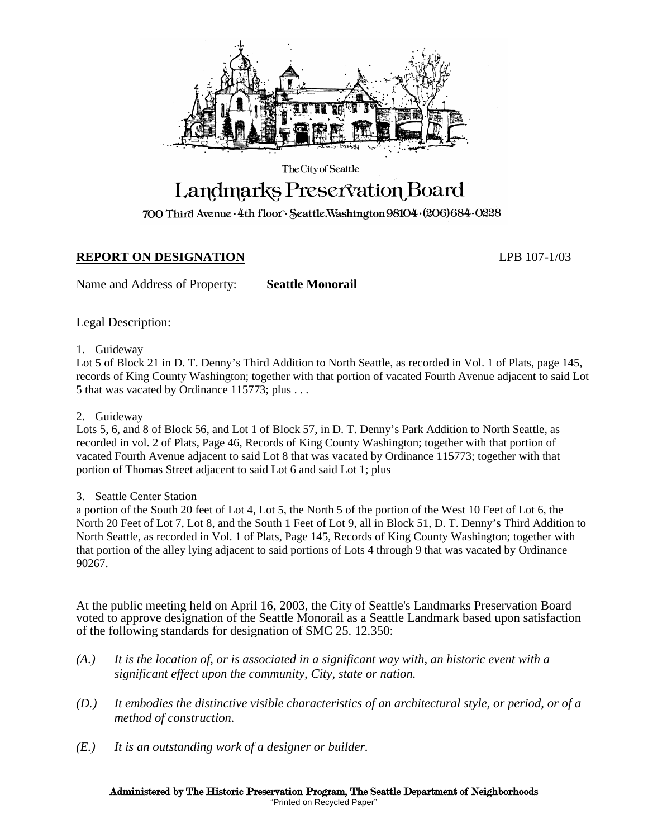

The City of Seattle

# Landmarks Preservation Board

700 Third Avenue · 4th floor · Seattle, Washington 98104 · (206) 684 · 0228

# **REPORT ON DESIGNATION** LPB 107-1/03

Name and Address of Property: **Seattle Monorail**

Legal Description:

1. Guideway

Lot 5 of Block 21 in D. T. Denny's Third Addition to North Seattle, as recorded in Vol. 1 of Plats, page 145, records of King County Washington; together with that portion of vacated Fourth Avenue adjacent to said Lot 5 that was vacated by Ordinance 115773; plus . . .

2. Guideway

Lots 5, 6, and 8 of Block 56, and Lot 1 of Block 57, in D. T. Denny's Park Addition to North Seattle, as recorded in vol. 2 of Plats, Page 46, Records of King County Washington; together with that portion of vacated Fourth Avenue adjacent to said Lot 8 that was vacated by Ordinance 115773; together with that portion of Thomas Street adjacent to said Lot 6 and said Lot 1; plus

3. Seattle Center Station

a portion of the South 20 feet of Lot 4, Lot 5, the North 5 of the portion of the West 10 Feet of Lot 6, the North 20 Feet of Lot 7, Lot 8, and the South 1 Feet of Lot 9, all in Block 51, D. T. Denny's Third Addition to North Seattle, as recorded in Vol. 1 of Plats, Page 145, Records of King County Washington; together with that portion of the alley lying adjacent to said portions of Lots 4 through 9 that was vacated by Ordinance 90267.

At the public meeting held on April 16, 2003, the City of Seattle's Landmarks Preservation Board voted to approve designation of the Seattle Monorail as a Seattle Landmark based upon satisfaction of the following standards for designation of SMC 25. 12.350:

- *(A.) It is the location of, or is associated in a significant way with, an historic event with a significant effect upon the community, City, state or nation.*
- *(D.) It embodies the distinctive visible characteristics of an architectural style, or period, or of a method of construction.*
- *(E.) It is an outstanding work of a designer or builder.*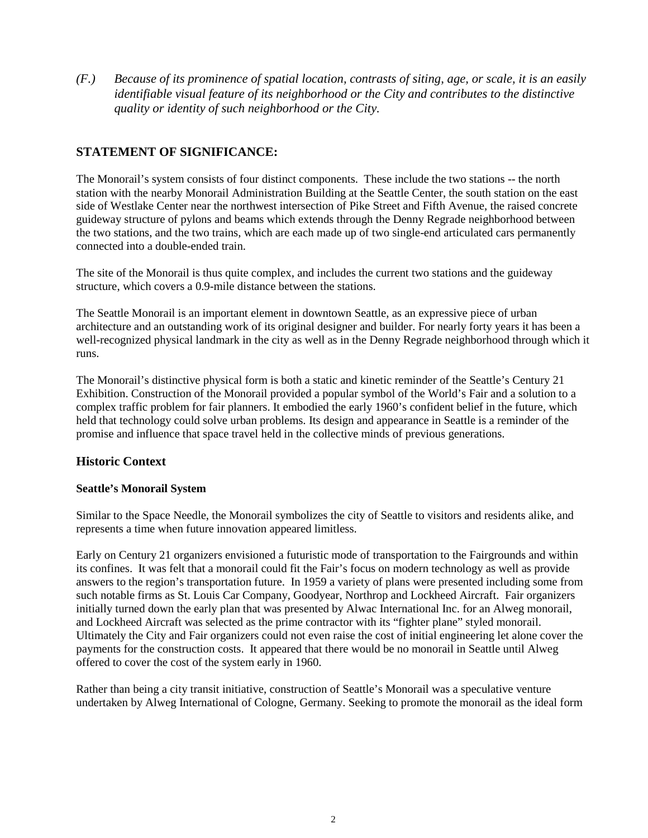*(F.) Because of its prominence of spatial location, contrasts of siting, age, or scale, it is an easily identifiable visual feature of its neighborhood or the City and contributes to the distinctive quality or identity of such neighborhood or the City.*

## **STATEMENT OF SIGNIFICANCE:**

The Monorail's system consists of four distinct components. These include the two stations -- the north station with the nearby Monorail Administration Building at the Seattle Center, the south station on the east side of Westlake Center near the northwest intersection of Pike Street and Fifth Avenue, the raised concrete guideway structure of pylons and beams which extends through the Denny Regrade neighborhood between the two stations, and the two trains, which are each made up of two single-end articulated cars permanently connected into a double-ended train.

The site of the Monorail is thus quite complex, and includes the current two stations and the guideway structure, which covers a 0.9-mile distance between the stations.

The Seattle Monorail is an important element in downtown Seattle, as an expressive piece of urban architecture and an outstanding work of its original designer and builder. For nearly forty years it has been a well-recognized physical landmark in the city as well as in the Denny Regrade neighborhood through which it runs.

The Monorail's distinctive physical form is both a static and kinetic reminder of the Seattle's Century 21 Exhibition. Construction of the Monorail provided a popular symbol of the World's Fair and a solution to a complex traffic problem for fair planners. It embodied the early 1960's confident belief in the future, which held that technology could solve urban problems. Its design and appearance in Seattle is a reminder of the promise and influence that space travel held in the collective minds of previous generations.

## **Historic Context**

#### **Seattle's Monorail System**

Similar to the Space Needle, the Monorail symbolizes the city of Seattle to visitors and residents alike, and represents a time when future innovation appeared limitless.

Early on Century 21 organizers envisioned a futuristic mode of transportation to the Fairgrounds and within its confines. It was felt that a monorail could fit the Fair's focus on modern technology as well as provide answers to the region's transportation future. In 1959 a variety of plans were presented including some from such notable firms as St. Louis Car Company, Goodyear, Northrop and Lockheed Aircraft. Fair organizers initially turned down the early plan that was presented by Alwac International Inc. for an Alweg monorail, and Lockheed Aircraft was selected as the prime contractor with its "fighter plane" styled monorail. Ultimately the City and Fair organizers could not even raise the cost of initial engineering let alone cover the payments for the construction costs. It appeared that there would be no monorail in Seattle until Alweg offered to cover the cost of the system early in 1960.

Rather than being a city transit initiative, construction of Seattle's Monorail was a speculative venture undertaken by Alweg International of Cologne, Germany. Seeking to promote the monorail as the ideal form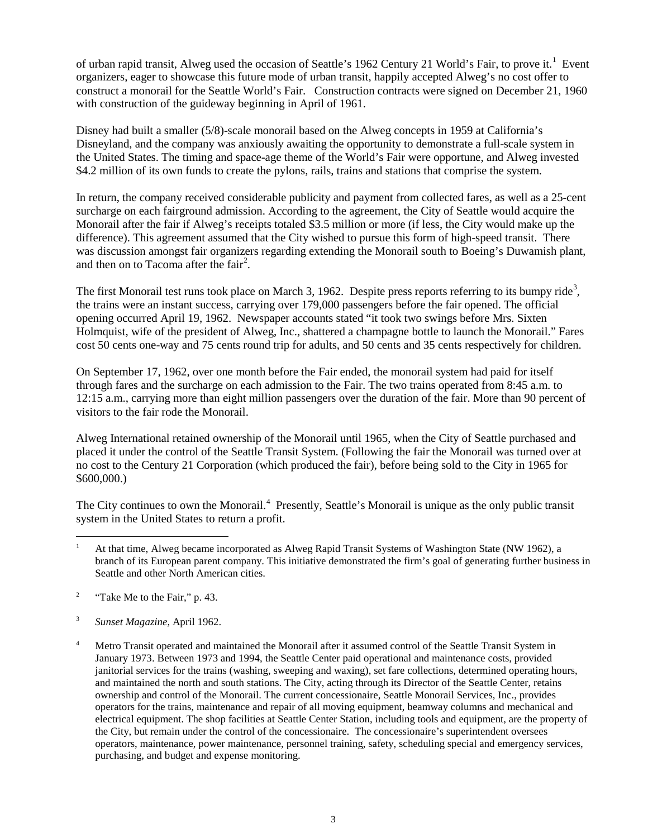of urban rapid transit, Alweg used the occasion of Seattle's [1](#page-2-0)962 Century 21 World's Fair, to prove it.<sup>1</sup> Event organizers, eager to showcase this future mode of urban transit, happily accepted Alweg's no cost offer to construct a monorail for the Seattle World's Fair. Construction contracts were signed on December 21, 1960 with construction of the guideway beginning in April of 1961.

Disney had built a smaller (5/8)-scale monorail based on the Alweg concepts in 1959 at California's Disneyland, and the company was anxiously awaiting the opportunity to demonstrate a full-scale system in the United States. The timing and space-age theme of the World's Fair were opportune, and Alweg invested \$4.2 million of its own funds to create the pylons, rails, trains and stations that comprise the system.

In return, the company received considerable publicity and payment from collected fares, as well as a 25-cent surcharge on each fairground admission. According to the agreement, the City of Seattle would acquire the Monorail after the fair if Alweg's receipts totaled \$3.5 million or more (if less, the City would make up the difference). This agreement assumed that the City wished to pursue this form of high-speed transit. There was discussion amongst fair organizers regarding extending the Monorail south to Boeing's Duwamish plant, and then on to Tacoma after the fair<sup>[2](#page-2-1)</sup>.

The first Monorail test runs took place on March [3](#page-2-2), 1962. Despite press reports referring to its bumpy ride<sup>3</sup>, the trains were an instant success, carrying over 179,000 passengers before the fair opened. The official opening occurred April 19, 1962. Newspaper accounts stated "it took two swings before Mrs. Sixten Holmquist, wife of the president of Alweg, Inc., shattered a champagne bottle to launch the Monorail." Fares cost 50 cents one-way and 75 cents round trip for adults, and 50 cents and 35 cents respectively for children.

On September 17, 1962, over one month before the Fair ended, the monorail system had paid for itself through fares and the surcharge on each admission to the Fair. The two trains operated from 8:45 a.m. to 12:15 a.m., carrying more than eight million passengers over the duration of the fair. More than 90 percent of visitors to the fair rode the Monorail.

Alweg International retained ownership of the Monorail until 1965, when the City of Seattle purchased and placed it under the control of the Seattle Transit System. (Following the fair the Monorail was turned over at no cost to the Century 21 Corporation (which produced the fair), before being sold to the City in 1965 for \$600,000.)

The City continues to own the Monorail.<sup>[4](#page-2-3)</sup> Presently, Seattle's Monorail is unique as the only public transit system in the United States to return a profit.

<span id="page-2-0"></span>At that time, Alweg became incorporated as Alweg Rapid Transit Systems of Washington State (NW 1962), a branch of its European parent company. This initiative demonstrated the firm's goal of generating further business in Seattle and other North American cities.  $\overline{a}$ 

<span id="page-2-1"></span><sup>&</sup>lt;sup>2</sup> "Take Me to the Fair," p. 43.

<span id="page-2-2"></span><sup>3</sup> *Sunset Magazine*, April 1962.

<span id="page-2-3"></span><sup>&</sup>lt;sup>4</sup> Metro Transit operated and maintained the Monorail after it assumed control of the Seattle Transit System in January 1973. Between 1973 and 1994, the Seattle Center paid operational and maintenance costs, provided janitorial services for the trains (washing, sweeping and waxing), set fare collections, determined operating hours, and maintained the north and south stations. The City, acting through its Director of the Seattle Center, retains ownership and control of the Monorail. The current concessionaire, Seattle Monorail Services, Inc., provides operators for the trains, maintenance and repair of all moving equipment, beamway columns and mechanical and electrical equipment. The shop facilities at Seattle Center Station, including tools and equipment, are the property of the City, but remain under the control of the concessionaire. The concessionaire's superintendent oversees operators, maintenance, power maintenance, personnel training, safety, scheduling special and emergency services, purchasing, and budget and expense monitoring.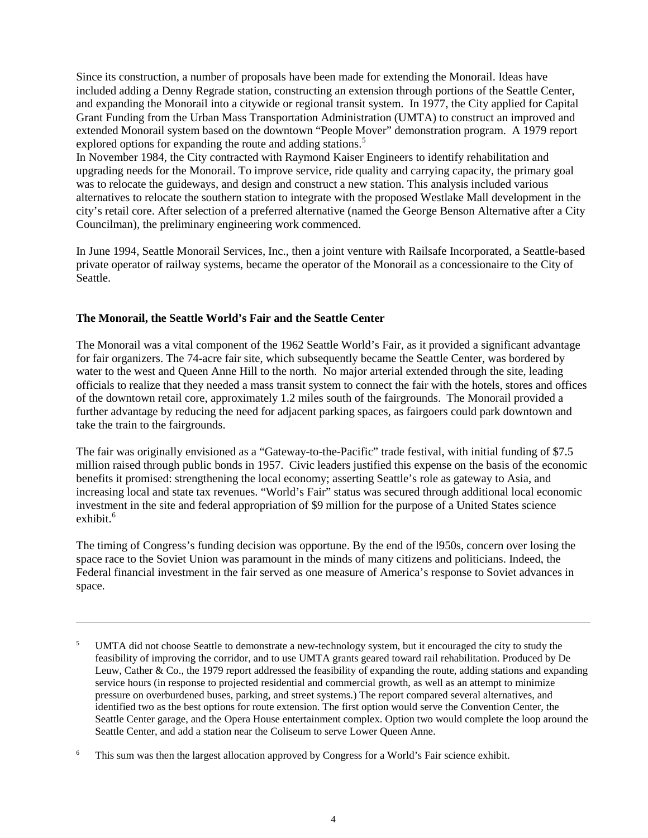Since its construction, a number of proposals have been made for extending the Monorail. Ideas have included adding a Denny Regrade station, constructing an extension through portions of the Seattle Center, and expanding the Monorail into a citywide or regional transit system. In 1977, the City applied for Capital Grant Funding from the Urban Mass Transportation Administration (UMTA) to construct an improved and extended Monorail system based on the downtown "People Mover" demonstration program. A 1979 report explored options for expanding the route and adding stations.<sup>[5](#page-3-0)</sup>

In November 1984, the City contracted with Raymond Kaiser Engineers to identify rehabilitation and upgrading needs for the Monorail. To improve service, ride quality and carrying capacity, the primary goal was to relocate the guideways, and design and construct a new station. This analysis included various alternatives to relocate the southern station to integrate with the proposed Westlake Mall development in the city's retail core. After selection of a preferred alternative (named the George Benson Alternative after a City Councilman), the preliminary engineering work commenced.

In June 1994, Seattle Monorail Services, Inc., then a joint venture with Railsafe Incorporated, a Seattle-based private operator of railway systems, became the operator of the Monorail as a concessionaire to the City of Seattle.

## **The Monorail, the Seattle World's Fair and the Seattle Center**

 $\overline{a}$ 

The Monorail was a vital component of the 1962 Seattle World's Fair, as it provided a significant advantage for fair organizers. The 74-acre fair site, which subsequently became the Seattle Center, was bordered by water to the west and Queen Anne Hill to the north. No major arterial extended through the site, leading officials to realize that they needed a mass transit system to connect the fair with the hotels, stores and offices of the downtown retail core, approximately 1.2 miles south of the fairgrounds. The Monorail provided a further advantage by reducing the need for adjacent parking spaces, as fairgoers could park downtown and take the train to the fairgrounds.

The fair was originally envisioned as a "Gateway-to-the-Pacific" trade festival, with initial funding of \$7.5 million raised through public bonds in 1957. Civic leaders justified this expense on the basis of the economic benefits it promised: strengthening the local economy; asserting Seattle's role as gateway to Asia, and increasing local and state tax revenues. "World's Fair" status was secured through additional local economic investment in the site and federal appropriation of \$9 million for the purpose of a United States science exhibit.<sup>[6](#page-3-1)</sup>

The timing of Congress's funding decision was opportune. By the end of the l950s, concern over losing the space race to the Soviet Union was paramount in the minds of many citizens and politicians. Indeed, the Federal financial investment in the fair served as one measure of America's response to Soviet advances in space.

<span id="page-3-0"></span><sup>&</sup>lt;sup>5</sup> UMTA did not choose Seattle to demonstrate a new-technology system, but it encouraged the city to study the feasibility of improving the corridor, and to use UMTA grants geared toward rail rehabilitation. Produced by De Leuw, Cather & Co., the 1979 report addressed the feasibility of expanding the route, adding stations and expanding service hours (in response to projected residential and commercial growth, as well as an attempt to minimize pressure on overburdened buses, parking, and street systems.) The report compared several alternatives, and identified two as the best options for route extension. The first option would serve the Convention Center, the Seattle Center garage, and the Opera House entertainment complex. Option two would complete the loop around the Seattle Center, and add a station near the Coliseum to serve Lower Queen Anne.

<span id="page-3-1"></span><sup>&</sup>lt;sup>6</sup> This sum was then the largest allocation approved by Congress for a World's Fair science exhibit.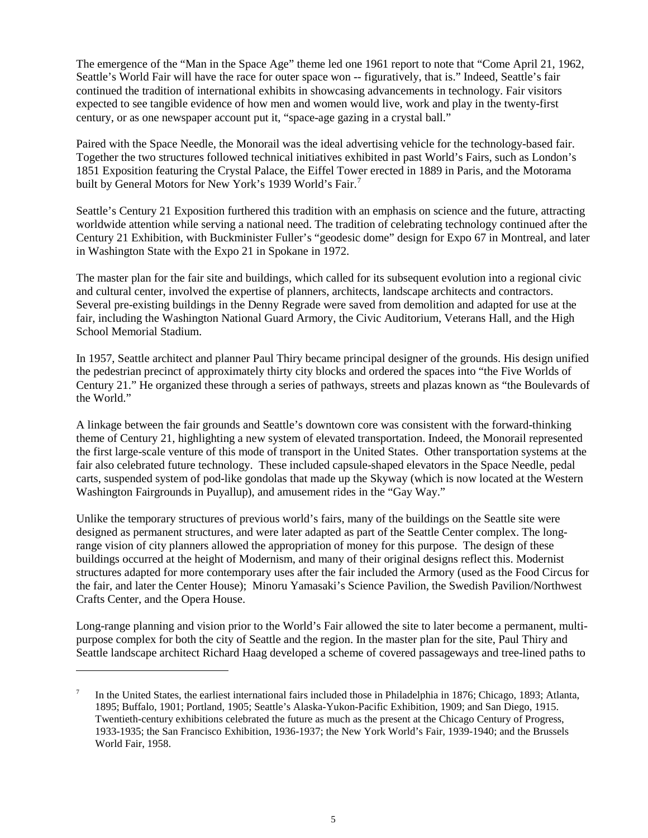The emergence of the "Man in the Space Age" theme led one 1961 report to note that "Come April 21, 1962, Seattle's World Fair will have the race for outer space won -- figuratively, that is." Indeed, Seattle's fair continued the tradition of international exhibits in showcasing advancements in technology. Fair visitors expected to see tangible evidence of how men and women would live, work and play in the twenty-first century, or as one newspaper account put it, "space-age gazing in a crystal ball."

Paired with the Space Needle, the Monorail was the ideal advertising vehicle for the technology-based fair. Together the two structures followed technical initiatives exhibited in past World's Fairs, such as London's 1851 Exposition featuring the Crystal Palace, the Eiffel Tower erected in 1889 in Paris, and the Motorama built by General Motors for New York's 1939 World's Fair.<sup>[7](#page-4-0)</sup>

Seattle's Century 21 Exposition furthered this tradition with an emphasis on science and the future, attracting worldwide attention while serving a national need. The tradition of celebrating technology continued after the Century 21 Exhibition, with Buckminister Fuller's "geodesic dome" design for Expo 67 in Montreal, and later in Washington State with the Expo 21 in Spokane in 1972.

The master plan for the fair site and buildings, which called for its subsequent evolution into a regional civic and cultural center, involved the expertise of planners, architects, landscape architects and contractors. Several pre-existing buildings in the Denny Regrade were saved from demolition and adapted for use at the fair, including the Washington National Guard Armory, the Civic Auditorium, Veterans Hall, and the High School Memorial Stadium.

In 1957, Seattle architect and planner Paul Thiry became principal designer of the grounds. His design unified the pedestrian precinct of approximately thirty city blocks and ordered the spaces into "the Five Worlds of Century 21." He organized these through a series of pathways, streets and plazas known as "the Boulevards of the World."

A linkage between the fair grounds and Seattle's downtown core was consistent with the forward-thinking theme of Century 21, highlighting a new system of elevated transportation. Indeed, the Monorail represented the first large-scale venture of this mode of transport in the United States. Other transportation systems at the fair also celebrated future technology. These included capsule-shaped elevators in the Space Needle, pedal carts, suspended system of pod-like gondolas that made up the Skyway (which is now located at the Western Washington Fairgrounds in Puyallup), and amusement rides in the "Gay Way."

Unlike the temporary structures of previous world's fairs, many of the buildings on the Seattle site were designed as permanent structures, and were later adapted as part of the Seattle Center complex. The longrange vision of city planners allowed the appropriation of money for this purpose. The design of these buildings occurred at the height of Modernism, and many of their original designs reflect this. Modernist structures adapted for more contemporary uses after the fair included the Armory (used as the Food Circus for the fair, and later the Center House); Minoru Yamasaki's Science Pavilion, the Swedish Pavilion/Northwest Crafts Center, and the Opera House.

Long-range planning and vision prior to the World's Fair allowed the site to later become a permanent, multipurpose complex for both the city of Seattle and the region. In the master plan for the site, Paul Thiry and Seattle landscape architect Richard Haag developed a scheme of covered passageways and tree-lined paths to

 $\overline{a}$ 

<span id="page-4-0"></span><sup>7</sup> In the United States, the earliest international fairs included those in Philadelphia in 1876; Chicago, 1893; Atlanta, 1895; Buffalo, 1901; Portland, 1905; Seattle's Alaska-Yukon-Pacific Exhibition, 1909; and San Diego, 1915. Twentieth-century exhibitions celebrated the future as much as the present at the Chicago Century of Progress, 1933-1935; the San Francisco Exhibition, 1936-1937; the New York World's Fair, 1939-1940; and the Brussels World Fair, 1958.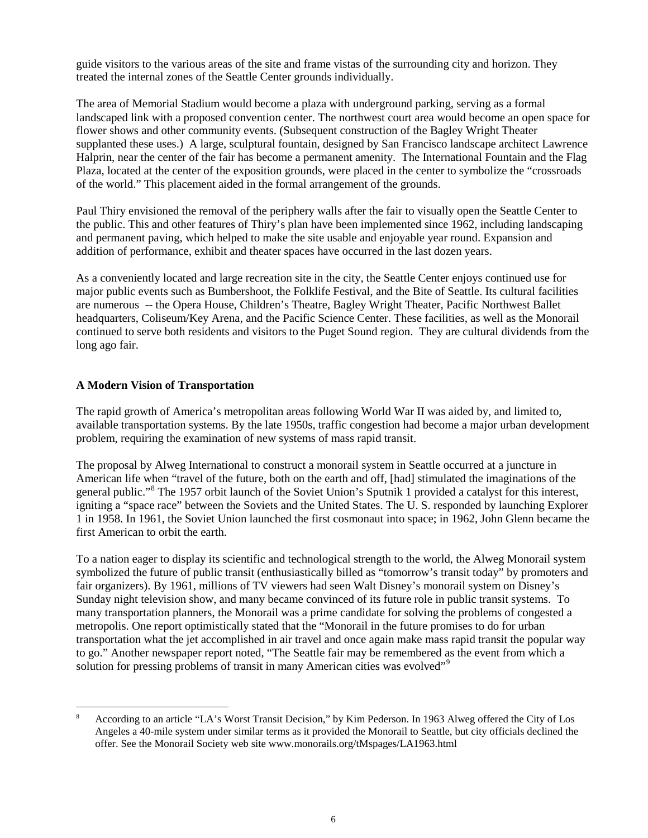guide visitors to the various areas of the site and frame vistas of the surrounding city and horizon. They treated the internal zones of the Seattle Center grounds individually.

The area of Memorial Stadium would become a plaza with underground parking, serving as a formal landscaped link with a proposed convention center. The northwest court area would become an open space for flower shows and other community events. (Subsequent construction of the Bagley Wright Theater supplanted these uses.) A large, sculptural fountain, designed by San Francisco landscape architect Lawrence Halprin, near the center of the fair has become a permanent amenity. The International Fountain and the Flag Plaza, located at the center of the exposition grounds, were placed in the center to symbolize the "crossroads of the world." This placement aided in the formal arrangement of the grounds.

Paul Thiry envisioned the removal of the periphery walls after the fair to visually open the Seattle Center to the public. This and other features of Thiry's plan have been implemented since 1962, including landscaping and permanent paving, which helped to make the site usable and enjoyable year round. Expansion and addition of performance, exhibit and theater spaces have occurred in the last dozen years.

As a conveniently located and large recreation site in the city, the Seattle Center enjoys continued use for major public events such as Bumbershoot, the Folklife Festival, and the Bite of Seattle. Its cultural facilities are numerous -- the Opera House, Children's Theatre, Bagley Wright Theater, Pacific Northwest Ballet headquarters, Coliseum/Key Arena, and the Pacific Science Center. These facilities, as well as the Monorail continued to serve both residents and visitors to the Puget Sound region. They are cultural dividends from the long ago fair.

#### **A Modern Vision of Transportation**

The rapid growth of America's metropolitan areas following World War II was aided by, and limited to, available transportation systems. By the late 1950s, traffic congestion had become a major urban development problem, requiring the examination of new systems of mass rapid transit.

The proposal by Alweg International to construct a monorail system in Seattle occurred at a juncture in American life when "travel of the future, both on the earth and off, [had] stimulated the imaginations of the general public."[8](#page-5-0) The 1957 orbit launch of the Soviet Union's Sputnik 1 provided a catalyst for this interest, igniting a "space race" between the Soviets and the United States. The U. S. responded by launching Explorer 1 in 1958. In 1961, the Soviet Union launched the first cosmonaut into space; in 1962, John Glenn became the first American to orbit the earth.

To a nation eager to display its scientific and technological strength to the world, the Alweg Monorail system symbolized the future of public transit (enthusiastically billed as "tomorrow's transit today" by promoters and fair organizers). By 1961, millions of TV viewers had seen Walt Disney's monorail system on Disney's Sunday night television show, and many became convinced of its future role in public transit systems. To many transportation planners, the Monorail was a prime candidate for solving the problems of congested a metropolis. One report optimistically stated that the "Monorail in the future promises to do for urban transportation what the jet accomplished in air travel and once again make mass rapid transit the popular way to go." Another newspaper report noted, "The Seattle fair may be remembered as the event from which a solution for pressing problems of transit in many American cities was evolved"<sup>[9](#page-5-1)</sup>

<span id="page-5-1"></span><span id="page-5-0"></span><sup>8</sup> According to an article "LA's Worst Transit Decision," by Kim Pederson. In 1963 Alweg offered the City of Los Angeles a 40-mile system under similar terms as it provided the Monorail to Seattle, but city officials declined the offer. See the Monorail Society web site www.monorails.org/tMspages/LA1963.html  $\overline{a}$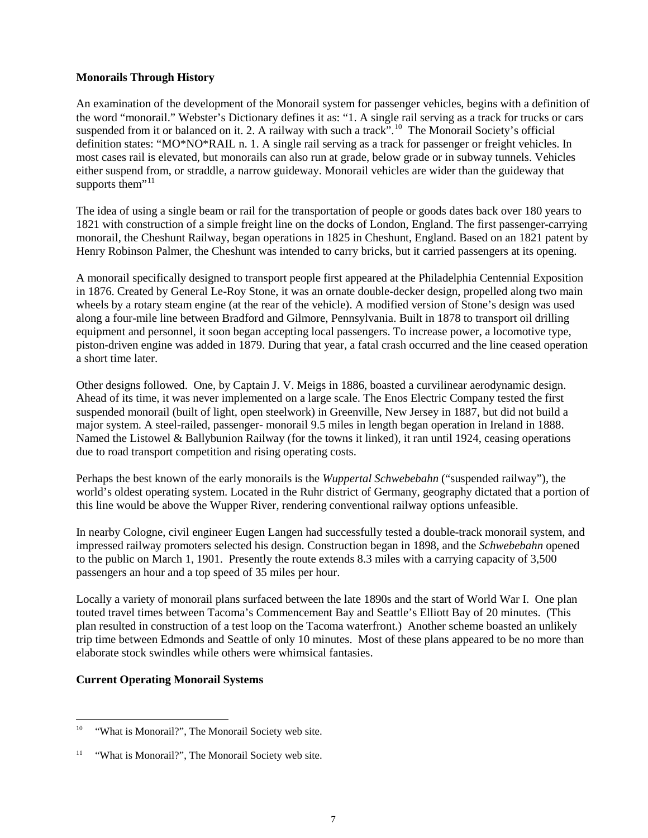#### **Monorails Through History**

An examination of the development of the Monorail system for passenger vehicles, begins with a definition of the word "monorail." Webster's Dictionary defines it as: "1. A single rail serving as a track for trucks or cars suspended from it or balanced on it. 2. A railway with such a track".<sup>[10](#page-6-0)</sup> The Monorail Society's official definition states: "MO\*NO\*RAIL n. 1. A single rail serving as a track for passenger or freight vehicles. In most cases rail is elevated, but monorails can also run at grade, below grade or in subway tunnels. Vehicles either suspend from, or straddle, a narrow guideway. Monorail vehicles are wider than the guideway that supports them<sup>"[11](#page-6-1)</sup>

The idea of using a single beam or rail for the transportation of people or goods dates back over 180 years to 1821 with construction of a simple freight line on the docks of London, England. The first passenger-carrying monorail, the Cheshunt Railway, began operations in 1825 in Cheshunt, England. Based on an 1821 patent by Henry Robinson Palmer, the Cheshunt was intended to carry bricks, but it carried passengers at its opening.

A monorail specifically designed to transport people first appeared at the Philadelphia Centennial Exposition in 1876. Created by General Le-Roy Stone, it was an ornate double-decker design, propelled along two main wheels by a rotary steam engine (at the rear of the vehicle). A modified version of Stone's design was used along a four-mile line between Bradford and Gilmore, Pennsylvania. Built in 1878 to transport oil drilling equipment and personnel, it soon began accepting local passengers. To increase power, a locomotive type, piston-driven engine was added in 1879. During that year, a fatal crash occurred and the line ceased operation a short time later.

Other designs followed. One, by Captain J. V. Meigs in 1886, boasted a curvilinear aerodynamic design. Ahead of its time, it was never implemented on a large scale. The Enos Electric Company tested the first suspended monorail (built of light, open steelwork) in Greenville, New Jersey in 1887, but did not build a major system. A steel-railed, passenger- monorail 9.5 miles in length began operation in Ireland in 1888. Named the Listowel & Ballybunion Railway (for the towns it linked), it ran until 1924, ceasing operations due to road transport competition and rising operating costs.

Perhaps the best known of the early monorails is the *Wuppertal Schwebebahn* ("suspended railway"), the world's oldest operating system. Located in the Ruhr district of Germany, geography dictated that a portion of this line would be above the Wupper River, rendering conventional railway options unfeasible.

In nearby Cologne, civil engineer Eugen Langen had successfully tested a double-track monorail system, and impressed railway promoters selected his design. Construction began in 1898, and the *Schwebebahn* opened to the public on March 1, 1901. Presently the route extends 8.3 miles with a carrying capacity of 3,500 passengers an hour and a top speed of 35 miles per hour.

Locally a variety of monorail plans surfaced between the late 1890s and the start of World War I. One plan touted travel times between Tacoma's Commencement Bay and Seattle's Elliott Bay of 20 minutes. (This plan resulted in construction of a test loop on the Tacoma waterfront.) Another scheme boasted an unlikely trip time between Edmonds and Seattle of only 10 minutes. Most of these plans appeared to be no more than elaborate stock swindles while others were whimsical fantasies.

#### **Current Operating Monorail Systems**

<span id="page-6-0"></span><sup>&</sup>quot;What is Monorail?", The Monorail Society web site.  $10\,$ 

<span id="page-6-1"></span><sup>&</sup>lt;sup>11</sup> "What is Monorail?", The Monorail Society web site.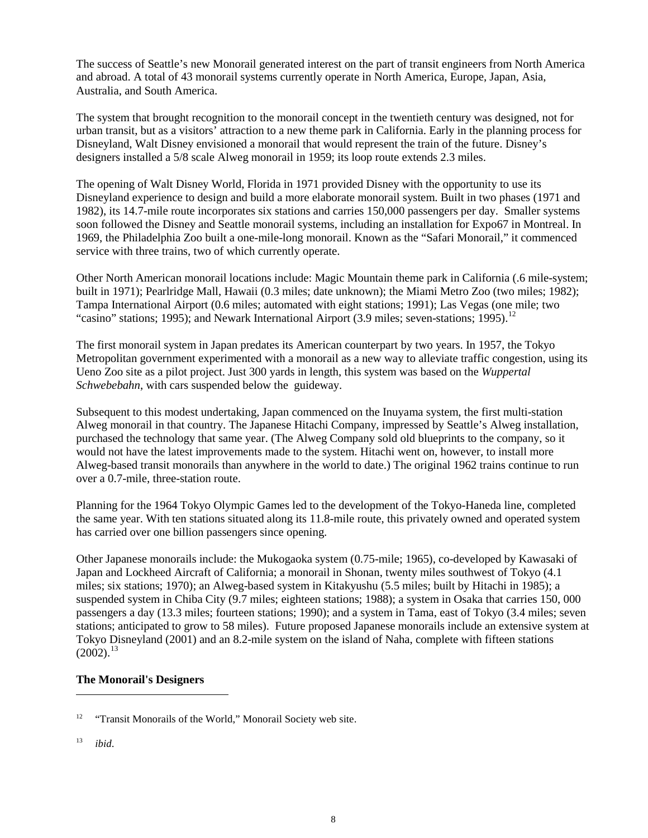The success of Seattle's new Monorail generated interest on the part of transit engineers from North America and abroad. A total of 43 monorail systems currently operate in North America, Europe, Japan, Asia, Australia, and South America.

The system that brought recognition to the monorail concept in the twentieth century was designed, not for urban transit, but as a visitors' attraction to a new theme park in California. Early in the planning process for Disneyland, Walt Disney envisioned a monorail that would represent the train of the future. Disney's designers installed a 5/8 scale Alweg monorail in 1959; its loop route extends 2.3 miles.

The opening of Walt Disney World, Florida in 1971 provided Disney with the opportunity to use its Disneyland experience to design and build a more elaborate monorail system. Built in two phases (1971 and 1982), its 14.7-mile route incorporates six stations and carries 150,000 passengers per day. Smaller systems soon followed the Disney and Seattle monorail systems, including an installation for Expo67 in Montreal. In 1969, the Philadelphia Zoo built a one-mile-long monorail. Known as the "Safari Monorail," it commenced service with three trains, two of which currently operate.

Other North American monorail locations include: Magic Mountain theme park in California (.6 mile-system; built in 1971); Pearlridge Mall, Hawaii (0.3 miles; date unknown); the Miami Metro Zoo (two miles; 1982); Tampa International Airport (0.6 miles; automated with eight stations; 1991); Las Vegas (one mile; two "casino" stations; 1995); and Newark International Airport (3.9 miles; seven-stations; 1995).<sup>[12](#page-7-0)</sup>

The first monorail system in Japan predates its American counterpart by two years. In 1957, the Tokyo Metropolitan government experimented with a monorail as a new way to alleviate traffic congestion, using its Ueno Zoo site as a pilot project. Just 300 yards in length, this system was based on the *Wuppertal Schwebebahn*, with cars suspended below the guideway.

Subsequent to this modest undertaking, Japan commenced on the Inuyama system, the first multi-station Alweg monorail in that country. The Japanese Hitachi Company, impressed by Seattle's Alweg installation, purchased the technology that same year. (The Alweg Company sold old blueprints to the company, so it would not have the latest improvements made to the system. Hitachi went on, however, to install more Alweg-based transit monorails than anywhere in the world to date.) The original 1962 trains continue to run over a 0.7-mile, three-station route.

Planning for the 1964 Tokyo Olympic Games led to the development of the Tokyo-Haneda line, completed the same year. With ten stations situated along its 11.8-mile route, this privately owned and operated system has carried over one billion passengers since opening.

Other Japanese monorails include: the Mukogaoka system (0.75-mile; 1965), co-developed by Kawasaki of Japan and Lockheed Aircraft of California; a monorail in Shonan, twenty miles southwest of Tokyo (4.1 miles; six stations; 1970); an Alweg-based system in Kitakyushu (5.5 miles; built by Hitachi in 1985); a suspended system in Chiba City (9.7 miles; eighteen stations; 1988); a system in Osaka that carries 150, 000 passengers a day (13.3 miles; fourteen stations; 1990); and a system in Tama, east of Tokyo (3.4 miles; seven stations; anticipated to grow to 58 miles). Future proposed Japanese monorails include an extensive system at Tokyo Disneyland (2001) and an 8.2-mile system on the island of Naha, complete with fifteen stations  $(2002).$ <sup>[13](#page-7-1)</sup>

## **The Monorail's Designers**

<span id="page-7-1"></span><sup>13</sup> *ibid*.

 $\overline{a}$ 

<span id="page-7-0"></span><sup>&</sup>lt;sup>12</sup> "Transit Monorails of the World," Monorail Society web site.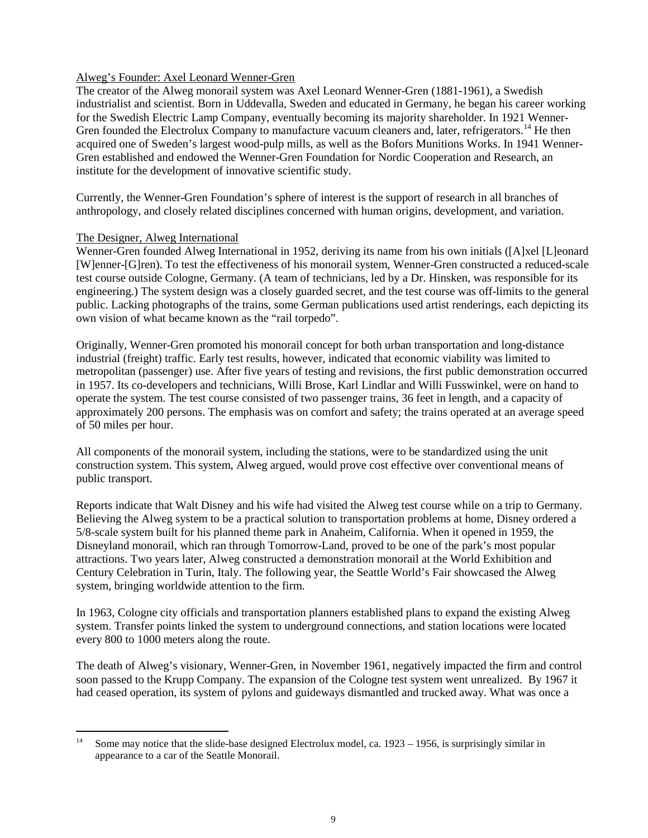#### Alweg's Founder: Axel Leonard Wenner-Gren

The creator of the Alweg monorail system was Axel Leonard Wenner-Gren (1881-1961), a Swedish industrialist and scientist. Born in Uddevalla, Sweden and educated in Germany, he began his career working for the Swedish Electric Lamp Company, eventually becoming its majority shareholder. In 1921 Wenner-Gren founded the Electrolux Company to manufacture vacuum cleaners and, later, refrigerators.<sup>[14](#page-8-0)</sup> He then acquired one of Sweden's largest wood-pulp mills, as well as the Bofors Munitions Works. In 1941 Wenner-Gren established and endowed the Wenner-Gren Foundation for Nordic Cooperation and Research, an institute for the development of innovative scientific study.

Currently, the Wenner-Gren Foundation's sphere of interest is the support of research in all branches of anthropology, and closely related disciplines concerned with human origins, development, and variation.

#### The Designer, Alweg International

Wenner-Gren founded Alweg International in 1952, deriving its name from his own initials ([A]xel [L]eonard [W]enner-[G]ren). To test the effectiveness of his monorail system, Wenner-Gren constructed a reduced-scale test course outside Cologne, Germany. (A team of technicians, led by a Dr. Hinsken, was responsible for its engineering.) The system design was a closely guarded secret, and the test course was off-limits to the general public. Lacking photographs of the trains, some German publications used artist renderings, each depicting its own vision of what became known as the "rail torpedo".

Originally, Wenner-Gren promoted his monorail concept for both urban transportation and long-distance industrial (freight) traffic. Early test results, however, indicated that economic viability was limited to metropolitan (passenger) use. After five years of testing and revisions, the first public demonstration occurred in 1957. Its co-developers and technicians, Willi Brose, Karl Lindlar and Willi Fusswinkel, were on hand to operate the system. The test course consisted of two passenger trains, 36 feet in length, and a capacity of approximately 200 persons. The emphasis was on comfort and safety; the trains operated at an average speed of 50 miles per hour.

All components of the monorail system, including the stations, were to be standardized using the unit construction system. This system, Alweg argued, would prove cost effective over conventional means of public transport.

Reports indicate that Walt Disney and his wife had visited the Alweg test course while on a trip to Germany. Believing the Alweg system to be a practical solution to transportation problems at home, Disney ordered a 5/8-scale system built for his planned theme park in Anaheim, California. When it opened in 1959, the Disneyland monorail, which ran through Tomorrow-Land, proved to be one of the park's most popular attractions. Two years later, Alweg constructed a demonstration monorail at the World Exhibition and Century Celebration in Turin, Italy. The following year, the Seattle World's Fair showcased the Alweg system, bringing worldwide attention to the firm.

In 1963, Cologne city officials and transportation planners established plans to expand the existing Alweg system. Transfer points linked the system to underground connections, and station locations were located every 800 to 1000 meters along the route.

The death of Alweg's visionary, Wenner-Gren, in November 1961, negatively impacted the firm and control soon passed to the Krupp Company. The expansion of the Cologne test system went unrealized. By 1967 it had ceased operation, its system of pylons and guideways dismantled and trucked away. What was once a

<span id="page-8-0"></span>Some may notice that the slide-base designed Electrolux model, ca.  $1923 - 1956$ , is surprisingly similar in appearance to a car of the Seattle Monorail.  $14$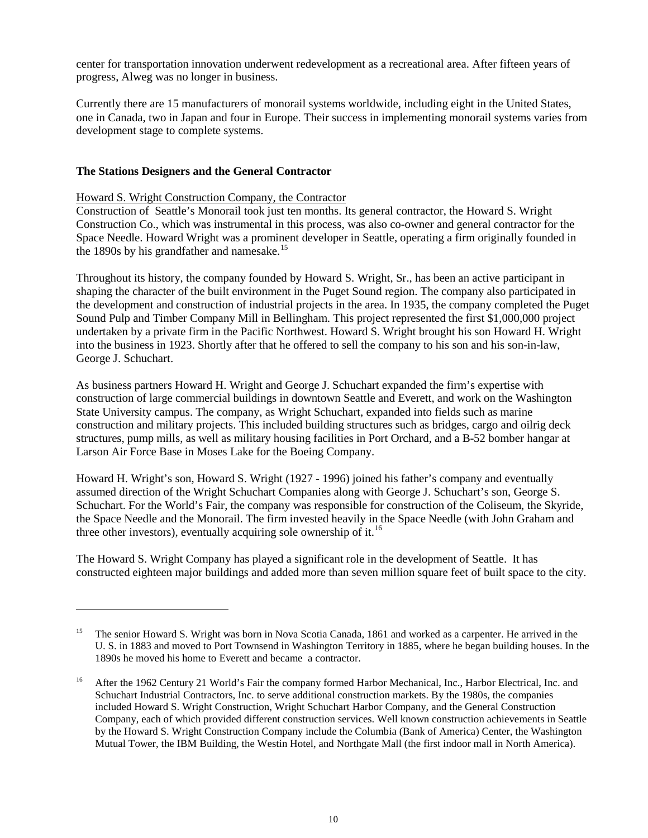center for transportation innovation underwent redevelopment as a recreational area. After fifteen years of progress, Alweg was no longer in business.

Currently there are 15 manufacturers of monorail systems worldwide, including eight in the United States, one in Canada, two in Japan and four in Europe. Their success in implementing monorail systems varies from development stage to complete systems.

#### **The Stations Designers and the General Contractor**

 $\overline{a}$ 

#### Howard S. Wright Construction Company, the Contractor

Construction of Seattle's Monorail took just ten months. Its general contractor, the Howard S. Wright Construction Co., which was instrumental in this process, was also co-owner and general contractor for the Space Needle. Howard Wright was a prominent developer in Seattle, operating a firm originally founded in the 1890s by his grandfather and namesake.<sup>[15](#page-9-0)</sup>

Throughout its history, the company founded by Howard S. Wright, Sr., has been an active participant in shaping the character of the built environment in the Puget Sound region. The company also participated in the development and construction of industrial projects in the area. In 1935, the company completed the Puget Sound Pulp and Timber Company Mill in Bellingham. This project represented the first \$1,000,000 project undertaken by a private firm in the Pacific Northwest. Howard S. Wright brought his son Howard H. Wright into the business in 1923. Shortly after that he offered to sell the company to his son and his son-in-law, George J. Schuchart.

As business partners Howard H. Wright and George J. Schuchart expanded the firm's expertise with construction of large commercial buildings in downtown Seattle and Everett, and work on the Washington State University campus. The company, as Wright Schuchart, expanded into fields such as marine construction and military projects. This included building structures such as bridges, cargo and oilrig deck structures, pump mills, as well as military housing facilities in Port Orchard, and a B-52 bomber hangar at Larson Air Force Base in Moses Lake for the Boeing Company.

Howard H. Wright's son, Howard S. Wright (1927 - 1996) joined his father's company and eventually assumed direction of the Wright Schuchart Companies along with George J. Schuchart's son, George S. Schuchart. For the World's Fair, the company was responsible for construction of the Coliseum, the Skyride, the Space Needle and the Monorail. The firm invested heavily in the Space Needle (with John Graham and three other investors), eventually acquiring sole ownership of it.<sup>[16](#page-9-1)</sup>

The Howard S. Wright Company has played a significant role in the development of Seattle. It has constructed eighteen major buildings and added more than seven million square feet of built space to the city.

<span id="page-9-0"></span><sup>&</sup>lt;sup>15</sup> The senior Howard S. Wright was born in Nova Scotia Canada, 1861 and worked as a carpenter. He arrived in the U. S. in 1883 and moved to Port Townsend in Washington Territory in 1885, where he began building houses. In the 1890s he moved his home to Everett and became a contractor.

<span id="page-9-1"></span><sup>&</sup>lt;sup>16</sup> After the 1962 Century 21 World's Fair the company formed Harbor Mechanical, Inc., Harbor Electrical, Inc. and Schuchart Industrial Contractors, Inc. to serve additional construction markets. By the 1980s, the companies included Howard S. Wright Construction, Wright Schuchart Harbor Company, and the General Construction Company, each of which provided different construction services. Well known construction achievements in Seattle by the Howard S. Wright Construction Company include the Columbia (Bank of America) Center, the Washington Mutual Tower, the IBM Building, the Westin Hotel, and Northgate Mall (the first indoor mall in North America).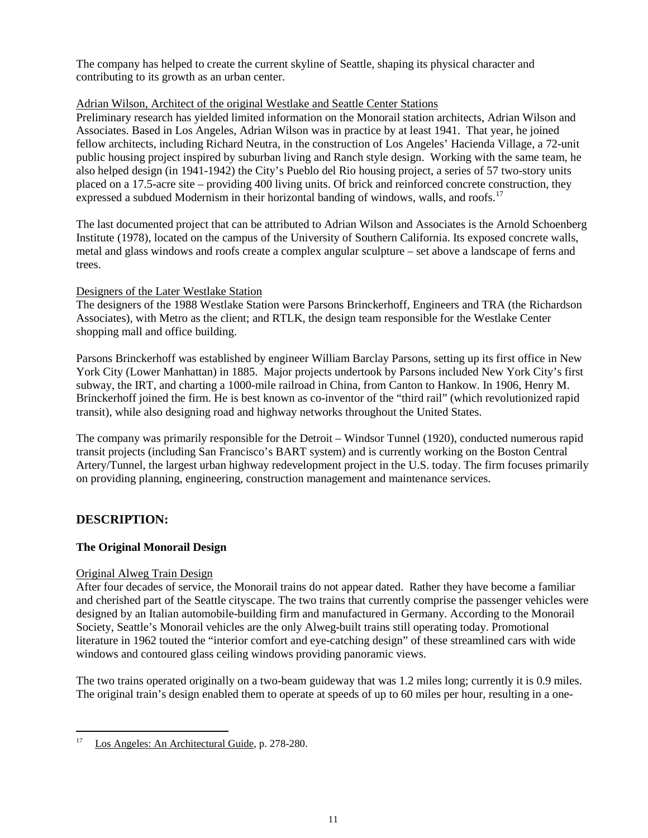The company has helped to create the current skyline of Seattle, shaping its physical character and contributing to its growth as an urban center.

## Adrian Wilson, Architect of the original Westlake and Seattle Center Stations

Preliminary research has yielded limited information on the Monorail station architects, Adrian Wilson and Associates. Based in Los Angeles, Adrian Wilson was in practice by at least 1941. That year, he joined fellow architects, including Richard Neutra, in the construction of Los Angeles' Hacienda Village, a 72-unit public housing project inspired by suburban living and Ranch style design. Working with the same team, he also helped design (in 1941-1942) the City's Pueblo del Rio housing project, a series of 57 two-story units placed on a 17.5-acre site – providing 400 living units. Of brick and reinforced concrete construction, they expressed a subdued Modernism in their horizontal banding of windows, walls, and roofs.<sup>[17](#page-10-0)</sup>

The last documented project that can be attributed to Adrian Wilson and Associates is the Arnold Schoenberg Institute (1978), located on the campus of the University of Southern California. Its exposed concrete walls, metal and glass windows and roofs create a complex angular sculpture – set above a landscape of ferns and trees.

## Designers of the Later Westlake Station

The designers of the 1988 Westlake Station were Parsons Brinckerhoff, Engineers and TRA (the Richardson Associates), with Metro as the client; and RTLK, the design team responsible for the Westlake Center shopping mall and office building.

Parsons Brinckerhoff was established by engineer William Barclay Parsons, setting up its first office in New York City (Lower Manhattan) in 1885. Major projects undertook by Parsons included New York City's first subway, the IRT, and charting a 1000-mile railroad in China, from Canton to Hankow. In 1906, Henry M. Brinckerhoff joined the firm. He is best known as co-inventor of the "third rail" (which revolutionized rapid transit), while also designing road and highway networks throughout the United States.

The company was primarily responsible for the Detroit – Windsor Tunnel (1920), conducted numerous rapid transit projects (including San Francisco's BART system) and is currently working on the Boston Central Artery/Tunnel, the largest urban highway redevelopment project in the U.S. today. The firm focuses primarily on providing planning, engineering, construction management and maintenance services.

## **DESCRIPTION:**

## **The Original Monorail Design**

#### Original Alweg Train Design

After four decades of service, the Monorail trains do not appear dated. Rather they have become a familiar and cherished part of the Seattle cityscape. The two trains that currently comprise the passenger vehicles were designed by an Italian automobile-building firm and manufactured in Germany. According to the Monorail Society, Seattle's Monorail vehicles are the only Alweg-built trains still operating today. Promotional literature in 1962 touted the "interior comfort and eye-catching design" of these streamlined cars with wide windows and contoured glass ceiling windows providing panoramic views.

The two trains operated originally on a two-beam guideway that was 1.2 miles long; currently it is 0.9 miles. The original train's design enabled them to operate at speeds of up to 60 miles per hour, resulting in a one-

<span id="page-10-0"></span>Los Angeles: An Architectural Guide, p. 278-280. 17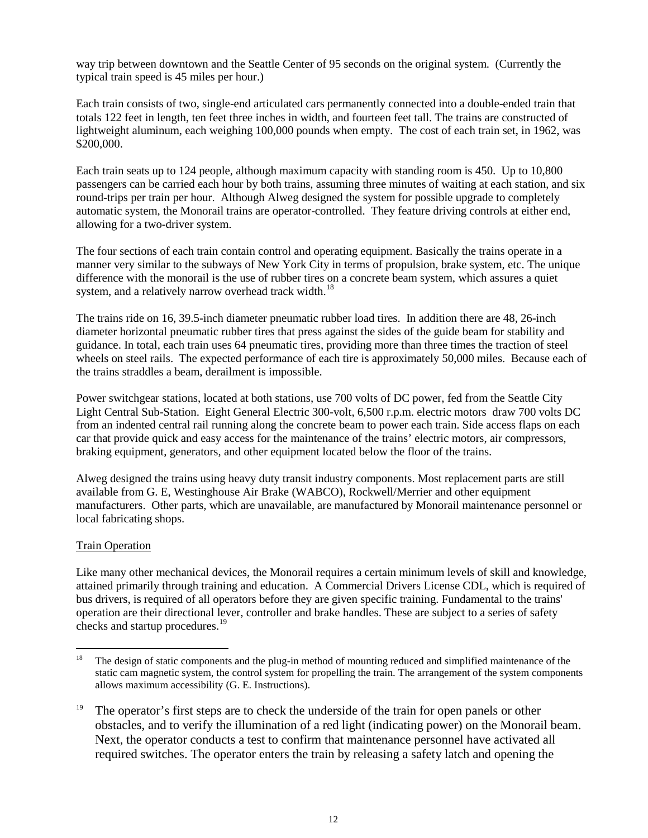way trip between downtown and the Seattle Center of 95 seconds on the original system. (Currently the typical train speed is 45 miles per hour.)

Each train consists of two, single-end articulated cars permanently connected into a double-ended train that totals 122 feet in length, ten feet three inches in width, and fourteen feet tall. The trains are constructed of lightweight aluminum, each weighing 100,000 pounds when empty. The cost of each train set, in 1962, was \$200,000.

Each train seats up to 124 people, although maximum capacity with standing room is 450. Up to 10,800 passengers can be carried each hour by both trains, assuming three minutes of waiting at each station, and six round-trips per train per hour. Although Alweg designed the system for possible upgrade to completely automatic system, the Monorail trains are operator-controlled. They feature driving controls at either end, allowing for a two-driver system.

The four sections of each train contain control and operating equipment. Basically the trains operate in a manner very similar to the subways of New York City in terms of propulsion, brake system, etc. The unique difference with the monorail is the use of rubber tires on a concrete beam system, which assures a quiet system, and a relatively narrow overhead track width.<sup>18</sup>

The trains ride on 16, 39.5-inch diameter pneumatic rubber load tires. In addition there are 48, 26-inch diameter horizontal pneumatic rubber tires that press against the sides of the guide beam for stability and guidance. In total, each train uses 64 pneumatic tires, providing more than three times the traction of steel wheels on steel rails. The expected performance of each tire is approximately 50,000 miles. Because each of the trains straddles a beam, derailment is impossible.

Power switchgear stations, located at both stations, use 700 volts of DC power, fed from the Seattle City Light Central Sub-Station. Eight General Electric 300-volt, 6,500 r.p.m. electric motors draw 700 volts DC from an indented central rail running along the concrete beam to power each train. Side access flaps on each car that provide quick and easy access for the maintenance of the trains' electric motors, air compressors, braking equipment, generators, and other equipment located below the floor of the trains.

Alweg designed the trains using heavy duty transit industry components. Most replacement parts are still available from G. E, Westinghouse Air Brake (WABCO), Rockwell/Merrier and other equipment manufacturers. Other parts, which are unavailable, are manufactured by Monorail maintenance personnel or local fabricating shops.

## Train Operation

Like many other mechanical devices, the Monorail requires a certain minimum levels of skill and knowledge, attained primarily through training and education. A Commercial Drivers License CDL, which is required of bus drivers, is required of all operators before they are given specific training. Fundamental to the trains' operation are their directional lever, controller and brake handles. These are subject to a series of safety checks and startup procedures.<sup>[19](#page-11-1)</sup>

<span id="page-11-0"></span><sup>18</sup> The design of static components and the plug-in method of mounting reduced and simplified maintenance of the static cam magnetic system, the control system for propelling the train. The arrangement of the system components allows maximum accessibility (G. E. Instructions).  $18\,$ 

<span id="page-11-1"></span>The operator's first steps are to check the underside of the train for open panels or other obstacles, and to verify the illumination of a red light (indicating power) on the Monorail beam. Next, the operator conducts a test to confirm that maintenance personnel have activated all required switches. The operator enters the train by releasing a safety latch and opening the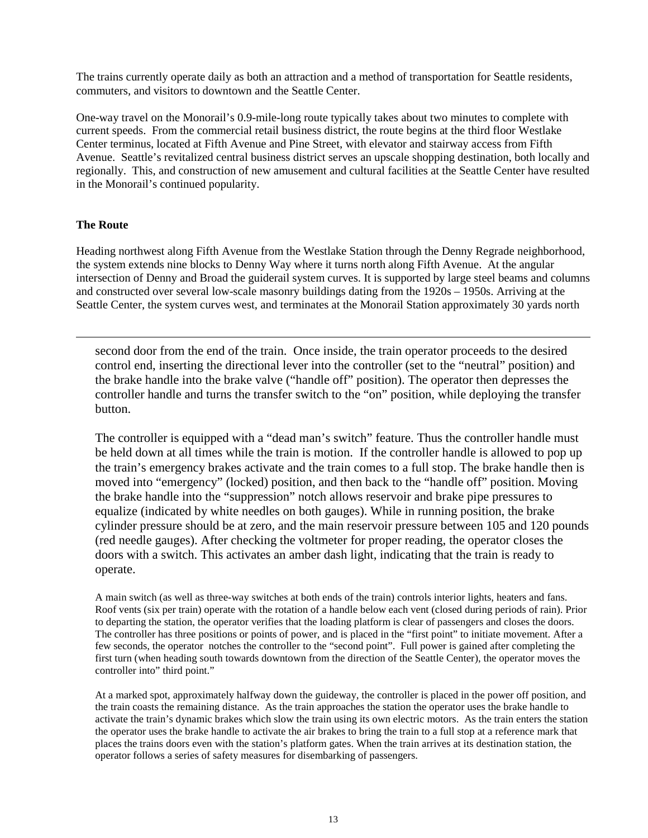The trains currently operate daily as both an attraction and a method of transportation for Seattle residents, commuters, and visitors to downtown and the Seattle Center.

One-way travel on the Monorail's 0.9-mile-long route typically takes about two minutes to complete with current speeds. From the commercial retail business district, the route begins at the third floor Westlake Center terminus, located at Fifth Avenue and Pine Street, with elevator and stairway access from Fifth Avenue. Seattle's revitalized central business district serves an upscale shopping destination, both locally and regionally. This, and construction of new amusement and cultural facilities at the Seattle Center have resulted in the Monorail's continued popularity.

## **The Route**

 $\overline{a}$ 

Heading northwest along Fifth Avenue from the Westlake Station through the Denny Regrade neighborhood, the system extends nine blocks to Denny Way where it turns north along Fifth Avenue. At the angular intersection of Denny and Broad the guiderail system curves. It is supported by large steel beams and columns and constructed over several low-scale masonry buildings dating from the 1920s – 1950s. Arriving at the Seattle Center, the system curves west, and terminates at the Monorail Station approximately 30 yards north

second door from the end of the train. Once inside, the train operator proceeds to the desired control end, inserting the directional lever into the controller (set to the "neutral" position) and the brake handle into the brake valve ("handle off" position). The operator then depresses the controller handle and turns the transfer switch to the "on" position, while deploying the transfer button.

The controller is equipped with a "dead man's switch" feature. Thus the controller handle must be held down at all times while the train is motion. If the controller handle is allowed to pop up the train's emergency brakes activate and the train comes to a full stop. The brake handle then is moved into "emergency" (locked) position, and then back to the "handle off" position. Moving the brake handle into the "suppression" notch allows reservoir and brake pipe pressures to equalize (indicated by white needles on both gauges). While in running position, the brake cylinder pressure should be at zero, and the main reservoir pressure between 105 and 120 pounds (red needle gauges). After checking the voltmeter for proper reading, the operator closes the doors with a switch. This activates an amber dash light, indicating that the train is ready to operate.

A main switch (as well as three-way switches at both ends of the train) controls interior lights, heaters and fans. Roof vents (six per train) operate with the rotation of a handle below each vent (closed during periods of rain). Prior to departing the station, the operator verifies that the loading platform is clear of passengers and closes the doors. The controller has three positions or points of power, and is placed in the "first point" to initiate movement. After a few seconds, the operator notches the controller to the "second point". Full power is gained after completing the first turn (when heading south towards downtown from the direction of the Seattle Center), the operator moves the controller into" third point."

At a marked spot, approximately halfway down the guideway, the controller is placed in the power off position, and the train coasts the remaining distance. As the train approaches the station the operator uses the brake handle to activate the train's dynamic brakes which slow the train using its own electric motors. As the train enters the station the operator uses the brake handle to activate the air brakes to bring the train to a full stop at a reference mark that places the trains doors even with the station's platform gates. When the train arrives at its destination station, the operator follows a series of safety measures for disembarking of passengers.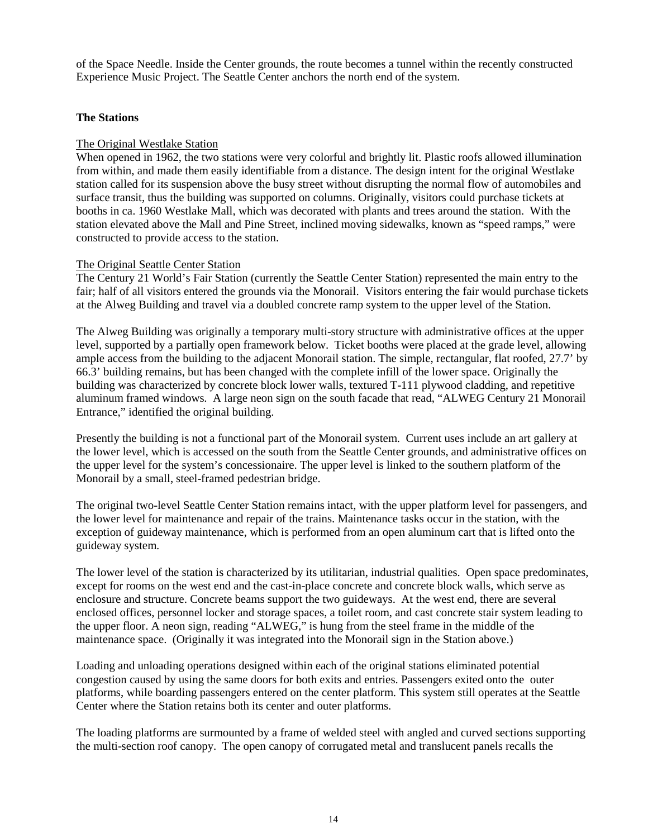of the Space Needle. Inside the Center grounds, the route becomes a tunnel within the recently constructed Experience Music Project. The Seattle Center anchors the north end of the system.

#### **The Stations**

#### The Original Westlake Station

When opened in 1962, the two stations were very colorful and brightly lit. Plastic roofs allowed illumination from within, and made them easily identifiable from a distance. The design intent for the original Westlake station called for its suspension above the busy street without disrupting the normal flow of automobiles and surface transit, thus the building was supported on columns. Originally, visitors could purchase tickets at booths in ca. 1960 Westlake Mall, which was decorated with plants and trees around the station. With the station elevated above the Mall and Pine Street, inclined moving sidewalks, known as "speed ramps," were constructed to provide access to the station.

#### The Original Seattle Center Station

The Century 21 World's Fair Station (currently the Seattle Center Station) represented the main entry to the fair; half of all visitors entered the grounds via the Monorail. Visitors entering the fair would purchase tickets at the Alweg Building and travel via a doubled concrete ramp system to the upper level of the Station.

The Alweg Building was originally a temporary multi-story structure with administrative offices at the upper level, supported by a partially open framework below. Ticket booths were placed at the grade level, allowing ample access from the building to the adjacent Monorail station. The simple, rectangular, flat roofed, 27.7' by 66.3' building remains, but has been changed with the complete infill of the lower space. Originally the building was characterized by concrete block lower walls, textured T-111 plywood cladding, and repetitive aluminum framed windows. A large neon sign on the south facade that read, "ALWEG Century 21 Monorail Entrance," identified the original building.

Presently the building is not a functional part of the Monorail system. Current uses include an art gallery at the lower level, which is accessed on the south from the Seattle Center grounds, and administrative offices on the upper level for the system's concessionaire. The upper level is linked to the southern platform of the Monorail by a small, steel-framed pedestrian bridge.

The original two-level Seattle Center Station remains intact, with the upper platform level for passengers, and the lower level for maintenance and repair of the trains. Maintenance tasks occur in the station, with the exception of guideway maintenance, which is performed from an open aluminum cart that is lifted onto the guideway system.

The lower level of the station is characterized by its utilitarian, industrial qualities. Open space predominates, except for rooms on the west end and the cast-in-place concrete and concrete block walls, which serve as enclosure and structure. Concrete beams support the two guideways. At the west end, there are several enclosed offices, personnel locker and storage spaces, a toilet room, and cast concrete stair system leading to the upper floor. A neon sign, reading "ALWEG," is hung from the steel frame in the middle of the maintenance space. (Originally it was integrated into the Monorail sign in the Station above.)

Loading and unloading operations designed within each of the original stations eliminated potential congestion caused by using the same doors for both exits and entries. Passengers exited onto the outer platforms, while boarding passengers entered on the center platform. This system still operates at the Seattle Center where the Station retains both its center and outer platforms.

The loading platforms are surmounted by a frame of welded steel with angled and curved sections supporting the multi-section roof canopy. The open canopy of corrugated metal and translucent panels recalls the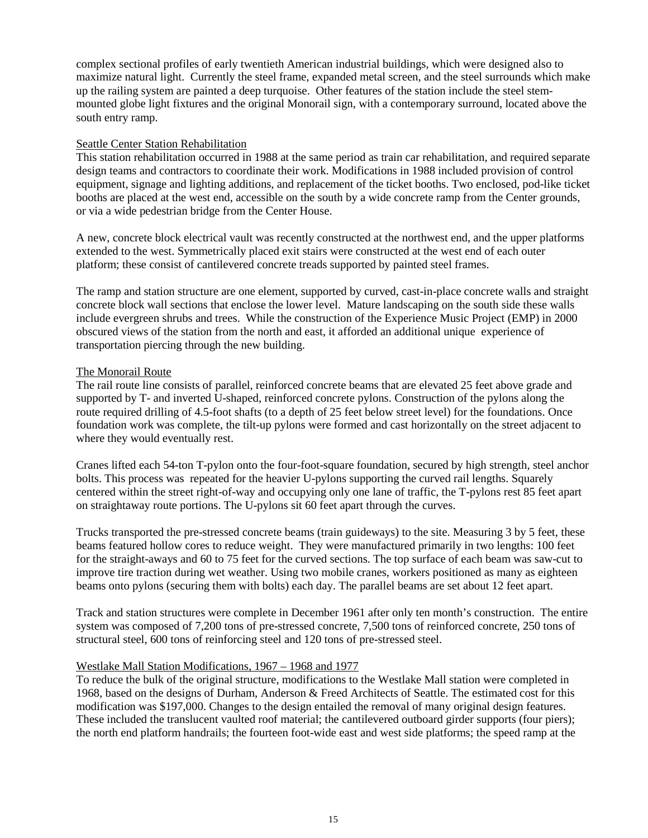complex sectional profiles of early twentieth American industrial buildings, which were designed also to maximize natural light. Currently the steel frame, expanded metal screen, and the steel surrounds which make up the railing system are painted a deep turquoise. Other features of the station include the steel stemmounted globe light fixtures and the original Monorail sign, with a contemporary surround, located above the south entry ramp.

#### Seattle Center Station Rehabilitation

This station rehabilitation occurred in 1988 at the same period as train car rehabilitation, and required separate design teams and contractors to coordinate their work. Modifications in 1988 included provision of control equipment, signage and lighting additions, and replacement of the ticket booths. Two enclosed, pod-like ticket booths are placed at the west end, accessible on the south by a wide concrete ramp from the Center grounds, or via a wide pedestrian bridge from the Center House.

A new, concrete block electrical vault was recently constructed at the northwest end, and the upper platforms extended to the west. Symmetrically placed exit stairs were constructed at the west end of each outer platform; these consist of cantilevered concrete treads supported by painted steel frames.

The ramp and station structure are one element, supported by curved, cast-in-place concrete walls and straight concrete block wall sections that enclose the lower level. Mature landscaping on the south side these walls include evergreen shrubs and trees. While the construction of the Experience Music Project (EMP) in 2000 obscured views of the station from the north and east, it afforded an additional unique experience of transportation piercing through the new building.

#### The Monorail Route

The rail route line consists of parallel, reinforced concrete beams that are elevated 25 feet above grade and supported by T- and inverted U-shaped, reinforced concrete pylons. Construction of the pylons along the route required drilling of 4.5-foot shafts (to a depth of 25 feet below street level) for the foundations. Once foundation work was complete, the tilt-up pylons were formed and cast horizontally on the street adjacent to where they would eventually rest.

Cranes lifted each 54-ton T-pylon onto the four-foot-square foundation, secured by high strength, steel anchor bolts. This process was repeated for the heavier U-pylons supporting the curved rail lengths. Squarely centered within the street right-of-way and occupying only one lane of traffic, the T-pylons rest 85 feet apart on straightaway route portions. The U-pylons sit 60 feet apart through the curves.

Trucks transported the pre-stressed concrete beams (train guideways) to the site. Measuring 3 by 5 feet, these beams featured hollow cores to reduce weight. They were manufactured primarily in two lengths: 100 feet for the straight-aways and 60 to 75 feet for the curved sections. The top surface of each beam was saw-cut to improve tire traction during wet weather. Using two mobile cranes, workers positioned as many as eighteen beams onto pylons (securing them with bolts) each day. The parallel beams are set about 12 feet apart.

Track and station structures were complete in December 1961 after only ten month's construction. The entire system was composed of 7,200 tons of pre-stressed concrete, 7,500 tons of reinforced concrete, 250 tons of structural steel, 600 tons of reinforcing steel and 120 tons of pre-stressed steel.

#### Westlake Mall Station Modifications, 1967 – 1968 and 1977

To reduce the bulk of the original structure, modifications to the Westlake Mall station were completed in 1968, based on the designs of Durham, Anderson & Freed Architects of Seattle. The estimated cost for this modification was \$197,000. Changes to the design entailed the removal of many original design features. These included the translucent vaulted roof material; the cantilevered outboard girder supports (four piers); the north end platform handrails; the fourteen foot-wide east and west side platforms; the speed ramp at the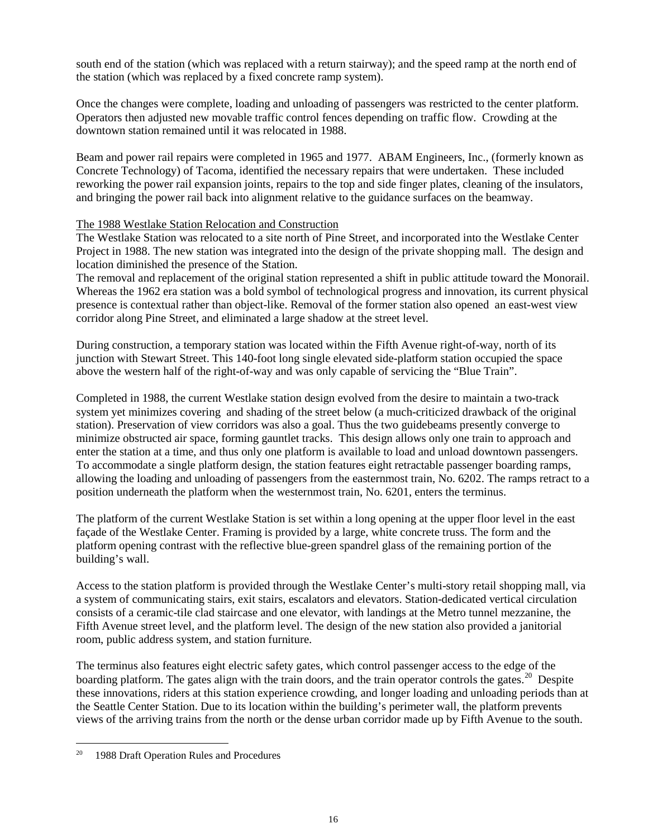south end of the station (which was replaced with a return stairway); and the speed ramp at the north end of the station (which was replaced by a fixed concrete ramp system).

Once the changes were complete, loading and unloading of passengers was restricted to the center platform. Operators then adjusted new movable traffic control fences depending on traffic flow. Crowding at the downtown station remained until it was relocated in 1988.

Beam and power rail repairs were completed in 1965 and 1977. ABAM Engineers, Inc., (formerly known as Concrete Technology) of Tacoma, identified the necessary repairs that were undertaken. These included reworking the power rail expansion joints, repairs to the top and side finger plates, cleaning of the insulators, and bringing the power rail back into alignment relative to the guidance surfaces on the beamway.

#### The 1988 Westlake Station Relocation and Construction

The Westlake Station was relocated to a site north of Pine Street, and incorporated into the Westlake Center Project in 1988. The new station was integrated into the design of the private shopping mall. The design and location diminished the presence of the Station.

The removal and replacement of the original station represented a shift in public attitude toward the Monorail. Whereas the 1962 era station was a bold symbol of technological progress and innovation, its current physical presence is contextual rather than object-like. Removal of the former station also opened an east-west view corridor along Pine Street, and eliminated a large shadow at the street level.

During construction, a temporary station was located within the Fifth Avenue right-of-way, north of its junction with Stewart Street. This 140-foot long single elevated side-platform station occupied the space above the western half of the right-of-way and was only capable of servicing the "Blue Train".

Completed in 1988, the current Westlake station design evolved from the desire to maintain a two-track system yet minimizes covering and shading of the street below (a much-criticized drawback of the original station). Preservation of view corridors was also a goal. Thus the two guidebeams presently converge to minimize obstructed air space, forming gauntlet tracks. This design allows only one train to approach and enter the station at a time, and thus only one platform is available to load and unload downtown passengers. To accommodate a single platform design, the station features eight retractable passenger boarding ramps, allowing the loading and unloading of passengers from the easternmost train, No. 6202. The ramps retract to a position underneath the platform when the westernmost train, No. 6201, enters the terminus.

The platform of the current Westlake Station is set within a long opening at the upper floor level in the east façade of the Westlake Center. Framing is provided by a large, white concrete truss. The form and the platform opening contrast with the reflective blue-green spandrel glass of the remaining portion of the building's wall.

Access to the station platform is provided through the Westlake Center's multi-story retail shopping mall, via a system of communicating stairs, exit stairs, escalators and elevators. Station-dedicated vertical circulation consists of a ceramic-tile clad staircase and one elevator, with landings at the Metro tunnel mezzanine, the Fifth Avenue street level, and the platform level. The design of the new station also provided a janitorial room, public address system, and station furniture.

The terminus also features eight electric safety gates, which control passenger access to the edge of the boarding platform. The gates align with the train doors, and the train operator controls the gates.<sup>20</sup> Despite these innovations, riders at this station experience crowding, and longer loading and unloading periods than at the Seattle Center Station. Due to its location within the building's perimeter wall, the platform prevents views of the arriving trains from the north or the dense urban corridor made up by Fifth Avenue to the south.

<span id="page-15-0"></span><sup>1988</sup> Draft Operation Rules and Procedures  $20\,$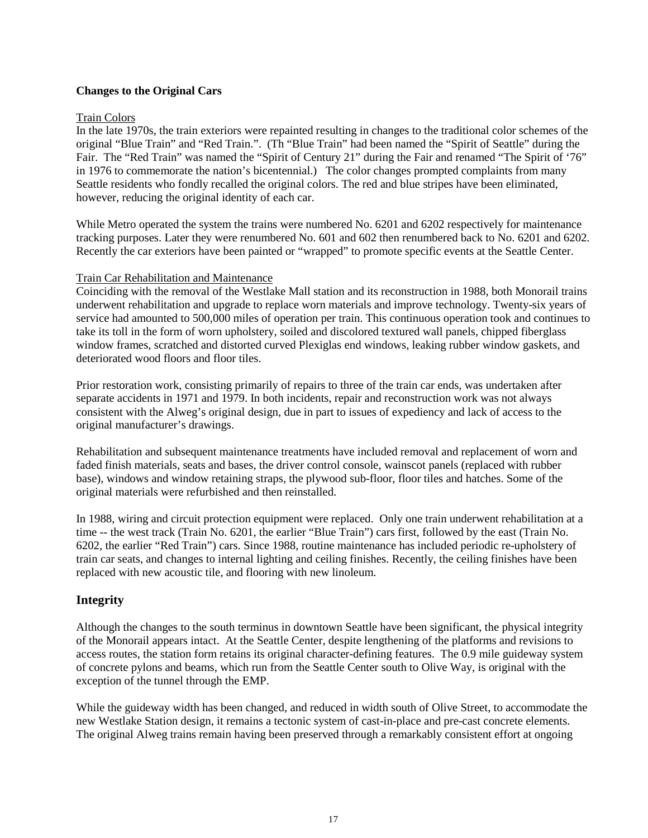## **Changes to the Original Cars**

#### Train Colors

In the late 1970s, the train exteriors were repainted resulting in changes to the traditional color schemes of the original "Blue Train" and "Red Train.". (Th "Blue Train" had been named the "Spirit of Seattle" during the Fair. The "Red Train" was named the "Spirit of Century 21" during the Fair and renamed "The Spirit of '76" in 1976 to commemorate the nation's bicentennial.) The color changes prompted complaints from many Seattle residents who fondly recalled the original colors. The red and blue stripes have been eliminated, however, reducing the original identity of each car.

While Metro operated the system the trains were numbered No. 6201 and 6202 respectively for maintenance tracking purposes. Later they were renumbered No. 601 and 602 then renumbered back to No. 6201 and 6202. Recently the car exteriors have been painted or "wrapped" to promote specific events at the Seattle Center.

#### Train Car Rehabilitation and Maintenance

Coinciding with the removal of the Westlake Mall station and its reconstruction in 1988, both Monorail trains underwent rehabilitation and upgrade to replace worn materials and improve technology. Twenty-six years of service had amounted to 500,000 miles of operation per train. This continuous operation took and continues to take its toll in the form of worn upholstery, soiled and discolored textured wall panels, chipped fiberglass window frames, scratched and distorted curved Plexiglas end windows, leaking rubber window gaskets, and deteriorated wood floors and floor tiles.

Prior restoration work, consisting primarily of repairs to three of the train car ends, was undertaken after separate accidents in 1971 and 1979. In both incidents, repair and reconstruction work was not always consistent with the Alweg's original design, due in part to issues of expediency and lack of access to the original manufacturer's drawings.

Rehabilitation and subsequent maintenance treatments have included removal and replacement of worn and faded finish materials, seats and bases, the driver control console, wainscot panels (replaced with rubber base), windows and window retaining straps, the plywood sub-floor, floor tiles and hatches. Some of the original materials were refurbished and then reinstalled.

In 1988, wiring and circuit protection equipment were replaced. Only one train underwent rehabilitation at a time -- the west track (Train No. 6201, the earlier "Blue Train") cars first, followed by the east (Train No. 6202, the earlier "Red Train") cars. Since 1988, routine maintenance has included periodic re-upholstery of train car seats, and changes to internal lighting and ceiling finishes. Recently, the ceiling finishes have been replaced with new acoustic tile, and flooring with new linoleum.

## **Integrity**

Although the changes to the south terminus in downtown Seattle have been significant, the physical integrity of the Monorail appears intact. At the Seattle Center, despite lengthening of the platforms and revisions to access routes, the station form retains its original character-defining features. The 0.9 mile guideway system of concrete pylons and beams, which run from the Seattle Center south to Olive Way, is original with the exception of the tunnel through the EMP.

While the guideway width has been changed, and reduced in width south of Olive Street, to accommodate the new Westlake Station design, it remains a tectonic system of cast-in-place and pre-cast concrete elements. The original Alweg trains remain having been preserved through a remarkably consistent effort at ongoing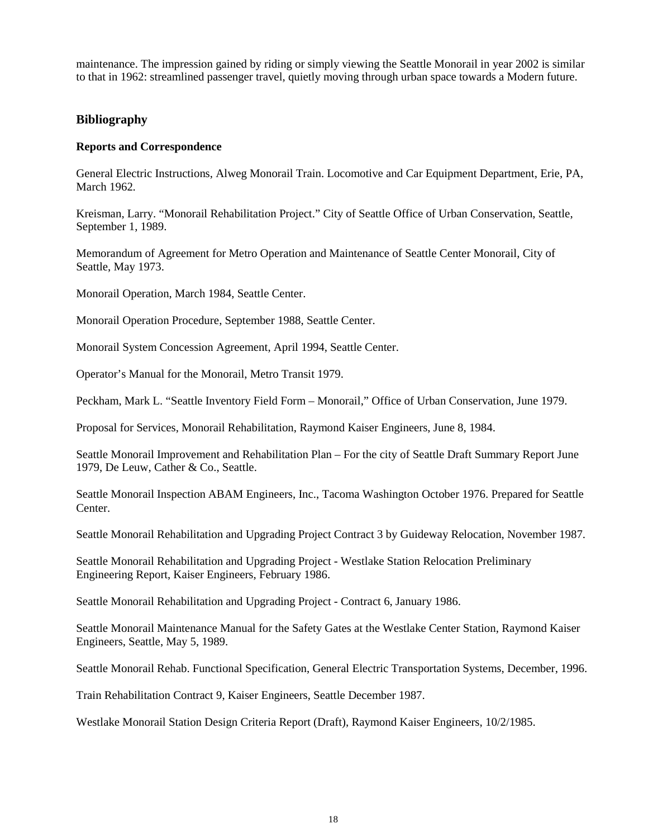maintenance. The impression gained by riding or simply viewing the Seattle Monorail in year 2002 is similar to that in 1962: streamlined passenger travel, quietly moving through urban space towards a Modern future.

#### **Bibliography**

#### **Reports and Correspondence**

General Electric Instructions, Alweg Monorail Train. Locomotive and Car Equipment Department, Erie, PA, March 1962.

Kreisman, Larry. "Monorail Rehabilitation Project." City of Seattle Office of Urban Conservation, Seattle, September 1, 1989.

Memorandum of Agreement for Metro Operation and Maintenance of Seattle Center Monorail, City of Seattle, May 1973.

Monorail Operation, March 1984, Seattle Center.

Monorail Operation Procedure, September 1988, Seattle Center.

Monorail System Concession Agreement, April 1994, Seattle Center.

Operator's Manual for the Monorail, Metro Transit 1979.

Peckham, Mark L. "Seattle Inventory Field Form – Monorail," Office of Urban Conservation, June 1979.

Proposal for Services, Monorail Rehabilitation, Raymond Kaiser Engineers, June 8, 1984.

Seattle Monorail Improvement and Rehabilitation Plan – For the city of Seattle Draft Summary Report June 1979, De Leuw, Cather & Co., Seattle.

Seattle Monorail Inspection ABAM Engineers, Inc., Tacoma Washington October 1976. Prepared for Seattle Center.

Seattle Monorail Rehabilitation and Upgrading Project Contract 3 by Guideway Relocation, November 1987.

Seattle Monorail Rehabilitation and Upgrading Project - Westlake Station Relocation Preliminary Engineering Report, Kaiser Engineers, February 1986.

Seattle Monorail Rehabilitation and Upgrading Project - Contract 6, January 1986.

Seattle Monorail Maintenance Manual for the Safety Gates at the Westlake Center Station, Raymond Kaiser Engineers, Seattle, May 5, 1989.

Seattle Monorail Rehab. Functional Specification, General Electric Transportation Systems, December, 1996.

Train Rehabilitation Contract 9, Kaiser Engineers, Seattle December 1987.

Westlake Monorail Station Design Criteria Report (Draft), Raymond Kaiser Engineers, 10/2/1985.